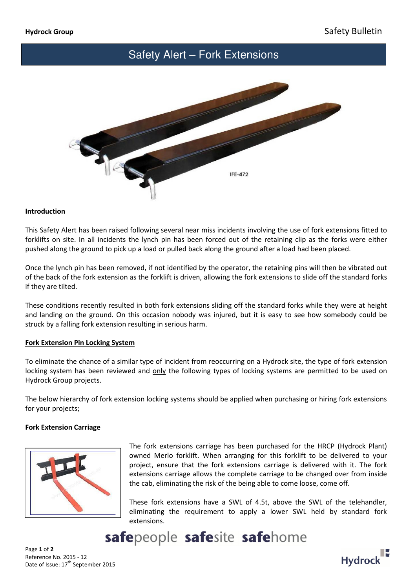## Safety Alert – Fork Extensions



### Introduction

This Safety Alert has been raised following several near miss incidents involving the use of fork extensions fitted to forklifts on site. In all incidents the lynch pin has been forced out of the retaining clip as the forks were either pushed along the ground to pick up a load or pulled back along the ground after a load had been placed.

Once the lynch pin has been removed, if not identified by the operator, the retaining pins will then be vibrated out of the back of the fork extension as the forklift is driven, allowing the fork extensions to slide off the standard forks if they are tilted.

These conditions recently resulted in both fork extensions sliding off the standard forks while they were at height and landing on the ground. On this occasion nobody was injured, but it is easy to see how somebody could be struck by a falling fork extension resulting in serious harm.

## Fork Extension Pin Locking System

To eliminate the chance of a similar type of incident from reoccurring on a Hydrock site, the type of fork extension locking system has been reviewed and only the following types of locking systems are permitted to be used on Hydrock Group projects.

The below hierarchy of fork extension locking systems should be applied when purchasing or hiring fork extensions for your projects;

## Fork Extension Carriage



The fork extensions carriage has been purchased for the HRCP (Hydrock Plant) owned Merlo forklift. When arranging for this forklift to be delivered to your project, ensure that the fork extensions carriage is delivered with it. The fork extensions carriage allows the complete carriage to be changed over from inside the cab, eliminating the risk of the being able to come loose, come off.

These fork extensions have a SWL of 4.5t, above the SWL of the telehandler, eliminating the requirement to apply a lower SWL held by standard fork extensions.

# safepeople safesite safehome

Page 1 of 2 Reference No. 2015 - 12 Date of Issue: 17<sup>th</sup> September 2015